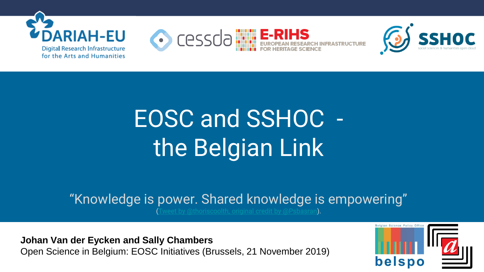

# nu ur<br>Jaior EOSC and SSHOC the Belgian Link

"Knowledge is power. Shared knowledge is empowering"

reet by @thoriscoolth, original credit by @Psbasran).

**Johan Van der Eycken and Sally Chambers** Open Science in Belgium: EOSC Initiatives (Brussels, 21 November 2019)

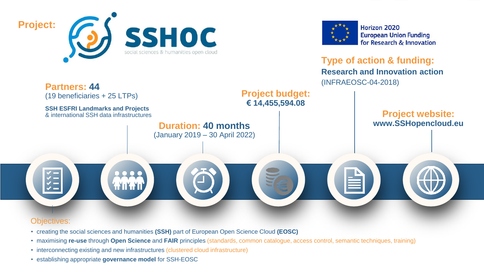



Horizon 2020 **European Union Funding** for Research & Innovation

**Type of action & funding: Research and Innovation action** (INFRAEOSC-04-2018)



- creating the social sciences and humanities **(SSH)** part of European Open Science Cloud **(EOSC)**
- maximising **re-use** through **Open Science** and **FAIR** principles (standards, common catalogue, access control, semantic techniques, training)
- interconnecting existing and new infrastructures (clustered cloud infrastructure)
- This project is funded from the EU Horizon 2020 Research and Innovation Programme (2014-2020) under Grant Agreement No. 82378227822782 • establishing appropriate **governance model** for SSH-EOSC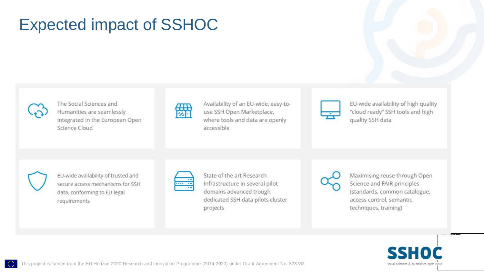# Expected impact of SSHOC



The Social Sciences and Humanities are seamlessly integrated in the European Open Science Cloud

| $\overline{}$<br>Ŧ | ÷ |  | المستور |  |
|--------------------|---|--|---------|--|

EU-wide availability of high quality "cloud ready" SSH tools and high quality SSH data



EU-wide availability of trusted and secure access mechanisms for SSH data, conforming to EU legal requirements

| ۰, |
|----|

State of the art Research Infrastructure in several pilot domains advanced trough dedicated SSH data pilots cluster projects

Maximising reuse through Open Science and FAIR principles (standards, common catalogue, access control, semantic techniques, training)



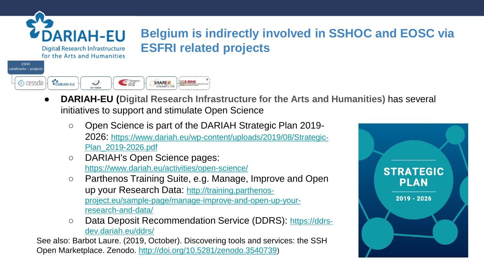

ESERI

#### **Digital Research Infrastructure** for the Arts and Humanities

#### andmarks + projects European<br>Social cessda **LOARIAH-EU** SHARE **ELE-RIHS**  $\mathcal{L}$

**DARIAH-EU (Digital Research Infrastructure for the Arts and Humanities) has several** initiatives to support and stimulate Open Science

**Belgium is indirectly involved in SSHOC and EOSC via** 

○ Open Science is part of the DARIAH Strategic Plan 2019- 2026: [https://www.dariah.eu/wp-content/uploads/2019/08/Strategic-](https://www.dariah.eu/wp-content/uploads/2019/08/Strategic-Plan_2019-2026.pdf)[Plan\\_2019-2026.pdf](https://www.dariah.eu/wp-content/uploads/2019/08/Strategic-Plan_2019-2026.pdf)

**ESFRI related projects**

- DARIAH's Open Science pages: <https://www.dariah.eu/activities/open-science/>
- Parthenos Training Suite, e.g. Manage, Improve and Open up your Research Data: [http://training.parthenos](http://training.parthenos-project.eu/sample-page/manage-improve-and-open-up-your-research-and-data/)[project.eu/sample-page/manage-improve-and-open-up-your](http://training.parthenos-project.eu/sample-page/manage-improve-and-open-up-your-research-and-data/)[research-and-data/](http://training.parthenos-project.eu/sample-page/manage-improve-and-open-up-your-research-and-data/)
- Data Deposit Recommendation Service (DDRS): [https://ddrs](https://ddrs-dev.dariah.eu/ddrs/)[dev.dariah.eu/ddrs/](https://ddrs-dev.dariah.eu/ddrs/)

See also: Barbot Laure. (2019, October). Discovering tools and services: the SSH Open Marketplace. Zenodo.<http://doi.org/10.5281/zenodo.3540739>)

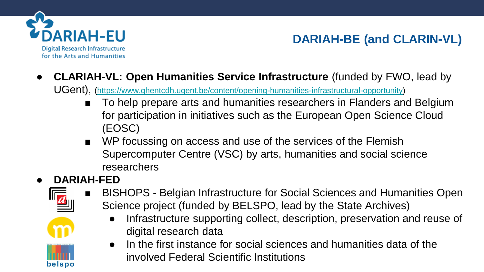

## **DARIAH-BE (and CLARIN-VL)**

● **CLARIAH-VL: Open Humanities Service Infrastructure** (funded by FWO, lead by

UGent), (<https://www.ghentcdh.ugent.be/content/opening-humanities-infrastructural-opportunity>)

- To help prepare arts and humanities researchers in Flanders and Belgium for participation in initiatives such as the European Open Science Cloud (EOSC)
- WP focussing on access and use of the services of the Flemish Supercomputer Centre (VSC) by arts, humanities and social science researchers

#### ● **DARIAH-FED**



belspo

- BISHOPS Belgian Infrastructure for Social Sciences and Humanities Open Science project (funded by BELSPO, lead by the State Archives)
	- Infrastructure supporting collect, description, preservation and reuse of digital research data
	- In the first instance for social sciences and humanities data of the involved Federal Scientific Institutions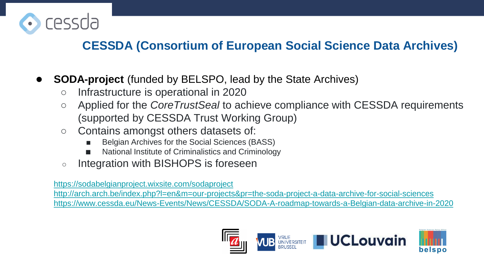

### **CESSDA (Consortium of European Social Science Data Archives)**

- **SODA-project** (funded by BELSPO, lead by the State Archives)
	- Infrastructure is operational in 2020
	- Applied for the *CoreTrustSeal* to achieve compliance with CESSDA requirements (supported by CESSDA Trust Working Group)
	- Contains amongst others datasets of:
		- Belgian Archives for the Social Sciences (BASS)
		- National Institute of Criminalistics and Criminology
	- Integration with BISHOPS is foreseen

<https://sodabelgianproject.wixsite.com/sodaproject>

<http://arch.arch.be/index.php?l=en&m=our-projects&pr=the-soda-project-a-data-archive-for-social-sciences> <https://www.cessda.eu/News-Events/News/CESSDA/SODA-A-roadmap-towards-a-Belgian-data-archive-in-2020>

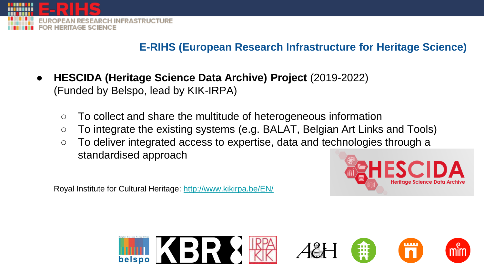

#### **E-RIHS (European Research Infrastructure for Heritage Science)**

- **HESCIDA (Heritage Science Data Archive) Project** (2019-2022) (Funded by Belspo, lead by KIK-IRPA)
	- To collect and share the multitude of heterogeneous information
	- To integrate the existing systems (e.g. BALAT, Belgian Art Links and Tools)
	- To deliver integrated access to expertise, data and technologies through a standardised approach

Royal Institute for Cultural Heritage:<http://www.kikirpa.be/EN/>